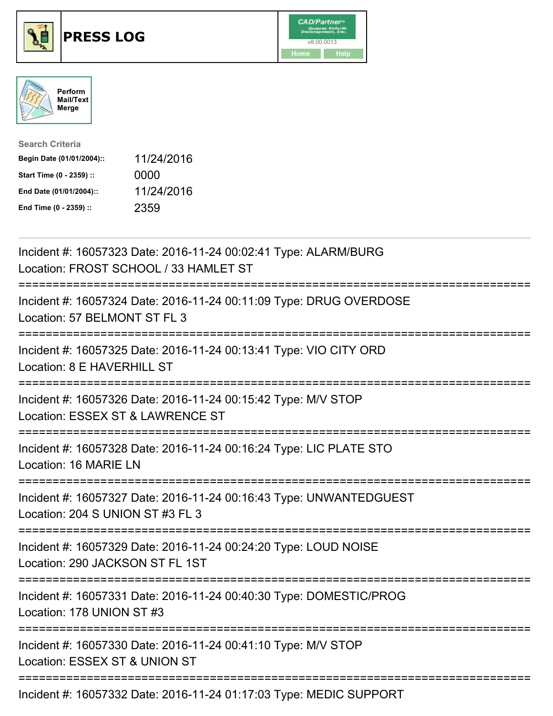





| <b>Search Criteria</b>    |            |
|---------------------------|------------|
| Begin Date (01/01/2004):: | 11/24/2016 |
| Start Time (0 - 2359) ::  | 0000       |
| End Date (01/01/2004)::   | 11/24/2016 |
| End Time (0 - 2359) ::    | 2359       |

| Incident #: 16057323 Date: 2016-11-24 00:02:41 Type: ALARM/BURG<br>Location: FROST SCHOOL / 33 HAMLET ST                                |
|-----------------------------------------------------------------------------------------------------------------------------------------|
| Incident #: 16057324 Date: 2016-11-24 00:11:09 Type: DRUG OVERDOSE<br>Location: 57 BELMONT ST FL 3<br>:============                     |
| Incident #: 16057325 Date: 2016-11-24 00:13:41 Type: VIO CITY ORD<br>Location: 8 E HAVERHILL ST<br>:=================================== |
| Incident #: 16057326 Date: 2016-11-24 00:15:42 Type: M/V STOP<br>Location: ESSEX ST & LAWRENCE ST<br>:======================            |
| Incident #: 16057328 Date: 2016-11-24 00:16:24 Type: LIC PLATE STO<br>Location: 16 MARIE LN                                             |
| Incident #: 16057327 Date: 2016-11-24 00:16:43 Type: UNWANTEDGUEST<br>Location: 204 S UNION ST #3 FL 3                                  |
| Incident #: 16057329 Date: 2016-11-24 00:24:20 Type: LOUD NOISE<br>Location: 290 JACKSON ST FL 1ST<br>====================              |
| Incident #: 16057331 Date: 2016-11-24 00:40:30 Type: DOMESTIC/PROG<br>Location: 178 UNION ST #3                                         |
| Incident #: 16057330 Date: 2016-11-24 00:41:10 Type: M/V STOP<br>Location: ESSEX ST & UNION ST                                          |
| ====================================<br>Incident #: 16057332 Date: 2016-11-24 01:17:03 Type: MEDIC SUPPORT                              |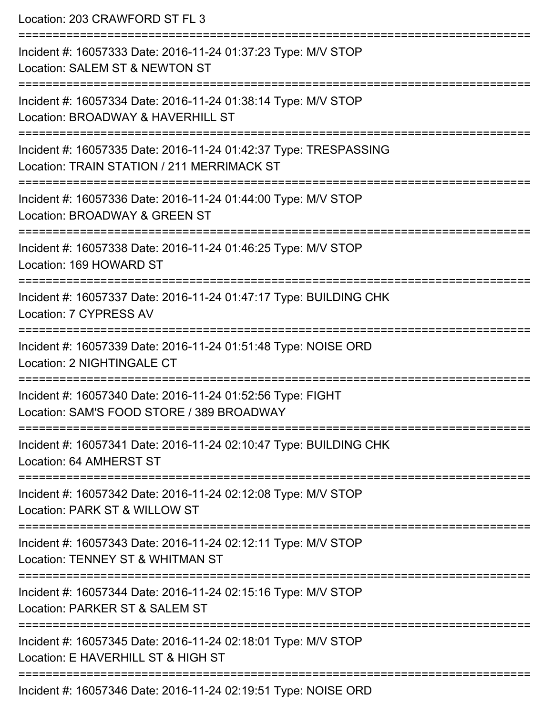Location: 203 CRAWFORD ST FL 3 =========================================================================== Incident #: 16057333 Date: 2016-11-24 01:37:23 Type: M/V STOP Location: SALEM ST & NEWTON ST =========================================================================== Incident #: 16057334 Date: 2016-11-24 01:38:14 Type: M/V STOP Location: BROADWAY & HAVERHILL ST =========================================================================== Incident #: 16057335 Date: 2016-11-24 01:42:37 Type: TRESPASSING Location: TRAIN STATION / 211 MERRIMACK ST =========================================================================== Incident #: 16057336 Date: 2016-11-24 01:44:00 Type: M/V STOP Location: BROADWAY & GREEN ST =========================================================================== Incident #: 16057338 Date: 2016-11-24 01:46:25 Type: M/V STOP Location: 169 HOWARD ST =========================================================================== Incident #: 16057337 Date: 2016-11-24 01:47:17 Type: BUILDING CHK Location: 7 CYPRESS AV =========================================================================== Incident #: 16057339 Date: 2016-11-24 01:51:48 Type: NOISE ORD Location: 2 NIGHTINGALE CT =========================================================================== Incident #: 16057340 Date: 2016-11-24 01:52:56 Type: FIGHT Location: SAM'S FOOD STORE / 389 BROADWAY =========================================================================== Incident #: 16057341 Date: 2016-11-24 02:10:47 Type: BUILDING CHK Location: 64 AMHERST ST =========================================================================== Incident #: 16057342 Date: 2016-11-24 02:12:08 Type: M/V STOP Location: PARK ST & WILLOW ST =========================================================================== Incident #: 16057343 Date: 2016-11-24 02:12:11 Type: M/V STOP Location: TENNEY ST & WHITMAN ST =========================================================================== Incident #: 16057344 Date: 2016-11-24 02:15:16 Type: M/V STOP Location: PARKER ST & SALEM ST =========================================================================== Incident #: 16057345 Date: 2016-11-24 02:18:01 Type: M/V STOP Location: F HAVERHILL ST & HIGH ST =========================================================================== Incident #: 16057346 Date: 2016-11-24 02:19:51 Type: NOISE ORD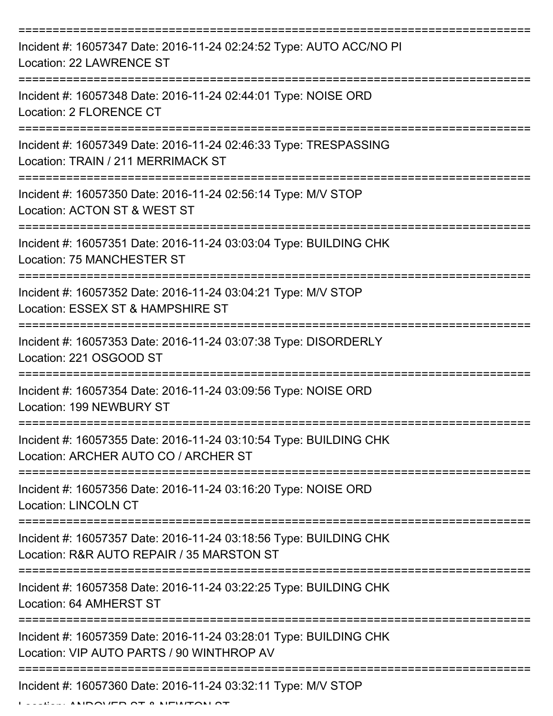| Incident #: 16057347 Date: 2016-11-24 02:24:52 Type: AUTO ACC/NO PI<br>Location: 22 LAWRENCE ST                |
|----------------------------------------------------------------------------------------------------------------|
| Incident #: 16057348 Date: 2016-11-24 02:44:01 Type: NOISE ORD<br>Location: 2 FLORENCE CT                      |
| Incident #: 16057349 Date: 2016-11-24 02:46:33 Type: TRESPASSING<br>Location: TRAIN / 211 MERRIMACK ST         |
| Incident #: 16057350 Date: 2016-11-24 02:56:14 Type: M/V STOP<br>Location: ACTON ST & WEST ST                  |
| Incident #: 16057351 Date: 2016-11-24 03:03:04 Type: BUILDING CHK<br><b>Location: 75 MANCHESTER ST</b>         |
| Incident #: 16057352 Date: 2016-11-24 03:04:21 Type: M/V STOP<br>Location: ESSEX ST & HAMPSHIRE ST             |
| Incident #: 16057353 Date: 2016-11-24 03:07:38 Type: DISORDERLY<br>Location: 221 OSGOOD ST                     |
| Incident #: 16057354 Date: 2016-11-24 03:09:56 Type: NOISE ORD<br>Location: 199 NEWBURY ST                     |
| Incident #: 16057355 Date: 2016-11-24 03:10:54 Type: BUILDING CHK<br>Location: ARCHER AUTO CO / ARCHER ST      |
| Incident #: 16057356 Date: 2016-11-24 03:16:20 Type: NOISE ORD<br><b>Location: LINCOLN CT</b>                  |
| Incident #: 16057357 Date: 2016-11-24 03:18:56 Type: BUILDING CHK<br>Location: R&R AUTO REPAIR / 35 MARSTON ST |
| Incident #: 16057358 Date: 2016-11-24 03:22:25 Type: BUILDING CHK<br>Location: 64 AMHERST ST                   |
| Incident #: 16057359 Date: 2016-11-24 03:28:01 Type: BUILDING CHK<br>Location: VIP AUTO PARTS / 90 WINTHROP AV |
| Incident #: 16057360 Date: 2016-11-24 03:32:11 Type: M/V STOP                                                  |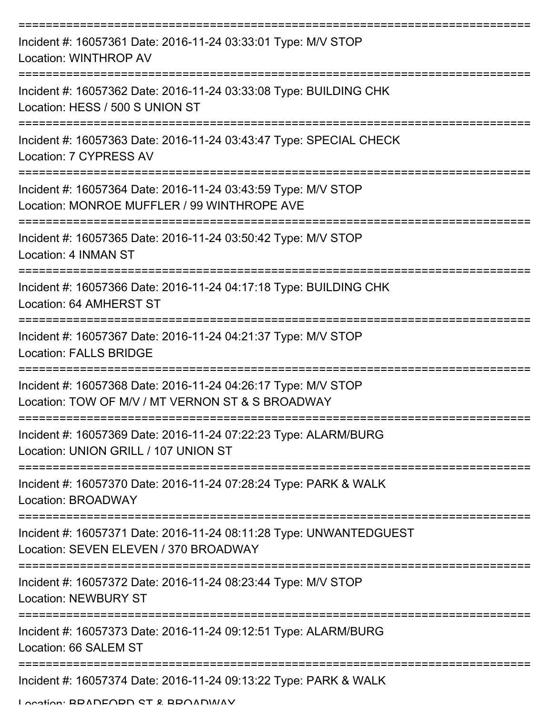| Incident #: 16057361 Date: 2016-11-24 03:33:01 Type: M/V STOP<br>Location: WINTHROP AV                                         |
|--------------------------------------------------------------------------------------------------------------------------------|
| Incident #: 16057362 Date: 2016-11-24 03:33:08 Type: BUILDING CHK<br>Location: HESS / 500 S UNION ST                           |
| Incident #: 16057363 Date: 2016-11-24 03:43:47 Type: SPECIAL CHECK<br>Location: 7 CYPRESS AV                                   |
| Incident #: 16057364 Date: 2016-11-24 03:43:59 Type: M/V STOP<br>Location: MONROE MUFFLER / 99 WINTHROPE AVE                   |
| Incident #: 16057365 Date: 2016-11-24 03:50:42 Type: M/V STOP<br>Location: 4 INMAN ST                                          |
| Incident #: 16057366 Date: 2016-11-24 04:17:18 Type: BUILDING CHK<br>Location: 64 AMHERST ST                                   |
| Incident #: 16057367 Date: 2016-11-24 04:21:37 Type: M/V STOP<br><b>Location: FALLS BRIDGE</b>                                 |
| ---------<br>Incident #: 16057368 Date: 2016-11-24 04:26:17 Type: M/V STOP<br>Location: TOW OF M/V / MT VERNON ST & S BROADWAY |
| Incident #: 16057369 Date: 2016-11-24 07:22:23 Type: ALARM/BURG<br>Location: UNION GRILL / 107 UNION ST                        |
| Incident #: 16057370 Date: 2016-11-24 07:28:24 Type: PARK & WALK<br>Location: BROADWAY                                         |
| Incident #: 16057371 Date: 2016-11-24 08:11:28 Type: UNWANTEDGUEST<br>Location: SEVEN ELEVEN / 370 BROADWAY                    |
| Incident #: 16057372 Date: 2016-11-24 08:23:44 Type: M/V STOP<br><b>Location: NEWBURY ST</b>                                   |
| Incident #: 16057373 Date: 2016-11-24 09:12:51 Type: ALARM/BURG<br>Location: 66 SALEM ST                                       |
| Incident #: 16057374 Date: 2016-11-24 09:13:22 Type: PARK & WALK                                                               |

Location: BRADFORD ST & BROADWAY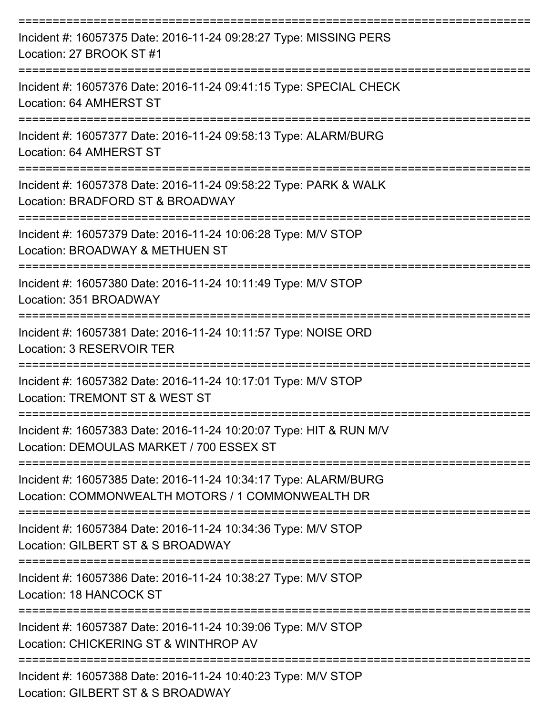| Incident #: 16057375 Date: 2016-11-24 09:28:27 Type: MISSING PERS<br>Location: 27 BROOK ST #1                             |
|---------------------------------------------------------------------------------------------------------------------------|
| Incident #: 16057376 Date: 2016-11-24 09:41:15 Type: SPECIAL CHECK<br>Location: 64 AMHERST ST                             |
| Incident #: 16057377 Date: 2016-11-24 09:58:13 Type: ALARM/BURG<br>Location: 64 AMHERST ST                                |
| Incident #: 16057378 Date: 2016-11-24 09:58:22 Type: PARK & WALK<br>Location: BRADFORD ST & BROADWAY<br>================= |
| Incident #: 16057379 Date: 2016-11-24 10:06:28 Type: M/V STOP<br>Location: BROADWAY & METHUEN ST                          |
| Incident #: 16057380 Date: 2016-11-24 10:11:49 Type: M/V STOP<br>Location: 351 BROADWAY<br>=====================          |
| Incident #: 16057381 Date: 2016-11-24 10:11:57 Type: NOISE ORD<br>Location: 3 RESERVOIR TER                               |
| Incident #: 16057382 Date: 2016-11-24 10:17:01 Type: M/V STOP<br>Location: TREMONT ST & WEST ST                           |
| Incident #: 16057383 Date: 2016-11-24 10:20:07 Type: HIT & RUN M/V<br>Location: DEMOULAS MARKET / 700 ESSEX ST            |
| Incident #: 16057385 Date: 2016-11-24 10:34:17 Type: ALARM/BURG<br>Location: COMMONWEALTH MOTORS / 1 COMMONWEALTH DR      |
| Incident #: 16057384 Date: 2016-11-24 10:34:36 Type: M/V STOP<br>Location: GILBERT ST & S BROADWAY                        |
| Incident #: 16057386 Date: 2016-11-24 10:38:27 Type: M/V STOP<br>Location: 18 HANCOCK ST                                  |
| Incident #: 16057387 Date: 2016-11-24 10:39:06 Type: M/V STOP<br>Location: CHICKERING ST & WINTHROP AV                    |
| Incident #: 16057388 Date: 2016-11-24 10:40:23 Type: M/V STOP<br>Location: GILBERT ST & S BROADWAY                        |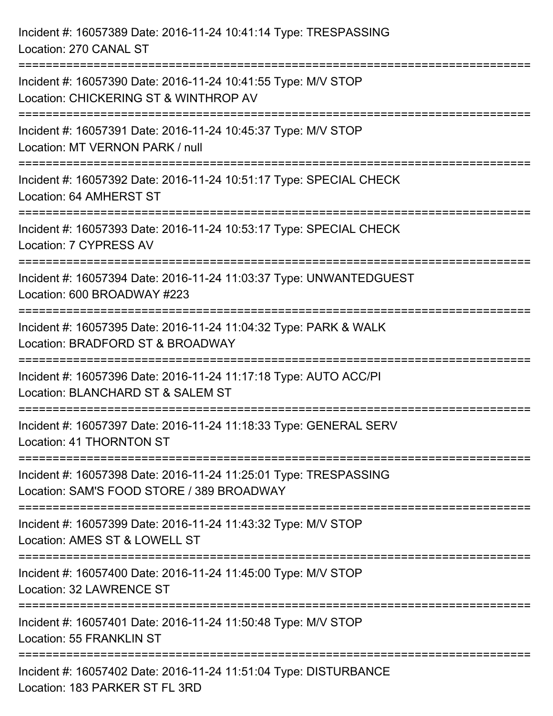| Incident #: 16057389 Date: 2016-11-24 10:41:14 Type: TRESPASSING<br>Location: 270 CANAL ST                    |
|---------------------------------------------------------------------------------------------------------------|
| Incident #: 16057390 Date: 2016-11-24 10:41:55 Type: M/V STOP<br>Location: CHICKERING ST & WINTHROP AV        |
| Incident #: 16057391 Date: 2016-11-24 10:45:37 Type: M/V STOP<br>Location: MT VERNON PARK / null              |
| Incident #: 16057392 Date: 2016-11-24 10:51:17 Type: SPECIAL CHECK<br>Location: 64 AMHERST ST                 |
| Incident #: 16057393 Date: 2016-11-24 10:53:17 Type: SPECIAL CHECK<br>Location: 7 CYPRESS AV                  |
| Incident #: 16057394 Date: 2016-11-24 11:03:37 Type: UNWANTEDGUEST<br>Location: 600 BROADWAY #223             |
| Incident #: 16057395 Date: 2016-11-24 11:04:32 Type: PARK & WALK<br>Location: BRADFORD ST & BROADWAY          |
| Incident #: 16057396 Date: 2016-11-24 11:17:18 Type: AUTO ACC/PI<br>Location: BLANCHARD ST & SALEM ST         |
| Incident #: 16057397 Date: 2016-11-24 11:18:33 Type: GENERAL SERV<br>Location: 41 THORNTON ST                 |
| Incident #: 16057398 Date: 2016-11-24 11:25:01 Type: TRESPASSING<br>Location: SAM'S FOOD STORE / 389 BROADWAY |
| Incident #: 16057399 Date: 2016-11-24 11:43:32 Type: M/V STOP<br>Location: AMES ST & LOWELL ST                |
| Incident #: 16057400 Date: 2016-11-24 11:45:00 Type: M/V STOP<br>Location: 32 LAWRENCE ST                     |
| Incident #: 16057401 Date: 2016-11-24 11:50:48 Type: M/V STOP<br>Location: 55 FRANKLIN ST                     |
| Incident #: 16057402 Date: 2016-11-24 11:51:04 Type: DISTURBANCE<br>Location: 183 PARKER ST FL 3RD            |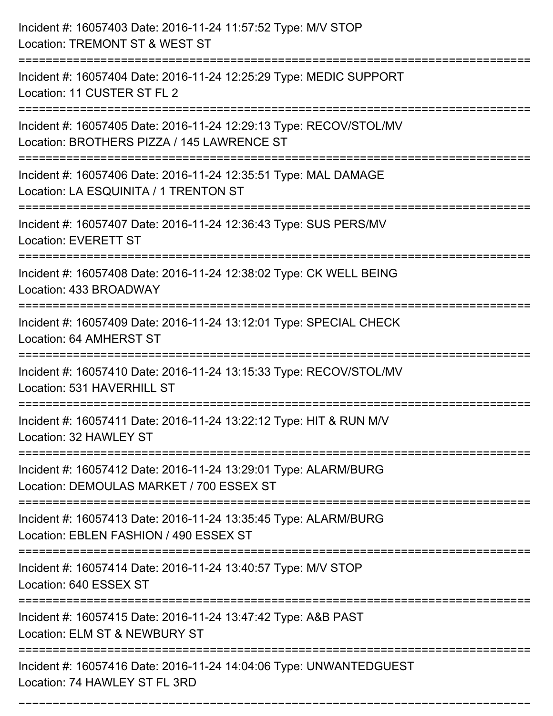| Incident #: 16057403 Date: 2016-11-24 11:57:52 Type: M/V STOP<br>Location: TREMONT ST & WEST ST                                                     |
|-----------------------------------------------------------------------------------------------------------------------------------------------------|
| :========================<br>Incident #: 16057404 Date: 2016-11-24 12:25:29 Type: MEDIC SUPPORT<br>Location: 11 CUSTER ST FL 2                      |
| Incident #: 16057405 Date: 2016-11-24 12:29:13 Type: RECOV/STOL/MV<br>Location: BROTHERS PIZZA / 145 LAWRENCE ST<br>;============================== |
| Incident #: 16057406 Date: 2016-11-24 12:35:51 Type: MAL DAMAGE<br>Location: LA ESQUINITA / 1 TRENTON ST                                            |
| Incident #: 16057407 Date: 2016-11-24 12:36:43 Type: SUS PERS/MV<br><b>Location: EVERETT ST</b>                                                     |
| Incident #: 16057408 Date: 2016-11-24 12:38:02 Type: CK WELL BEING<br>Location: 433 BROADWAY                                                        |
| Incident #: 16057409 Date: 2016-11-24 13:12:01 Type: SPECIAL CHECK<br>Location: 64 AMHERST ST                                                       |
| Incident #: 16057410 Date: 2016-11-24 13:15:33 Type: RECOV/STOL/MV<br>Location: 531 HAVERHILL ST                                                    |
| Incident #: 16057411 Date: 2016-11-24 13:22:12 Type: HIT & RUN M/V<br>Location: 32 HAWLEY ST                                                        |
| Incident #: 16057412 Date: 2016-11-24 13:29:01 Type: ALARM/BURG<br>Location: DEMOULAS MARKET / 700 ESSEX ST                                         |
| Incident #: 16057413 Date: 2016-11-24 13:35:45 Type: ALARM/BURG<br>Location: EBLEN FASHION / 490 ESSEX ST                                           |
| Incident #: 16057414 Date: 2016-11-24 13:40:57 Type: M/V STOP<br>Location: 640 ESSEX ST                                                             |
| Incident #: 16057415 Date: 2016-11-24 13:47:42 Type: A&B PAST<br>Location: ELM ST & NEWBURY ST                                                      |
| Incident #: 16057416 Date: 2016-11-24 14:04:06 Type: UNWANTEDGUEST<br>Location: 74 HAWLEY ST FL 3RD                                                 |

===========================================================================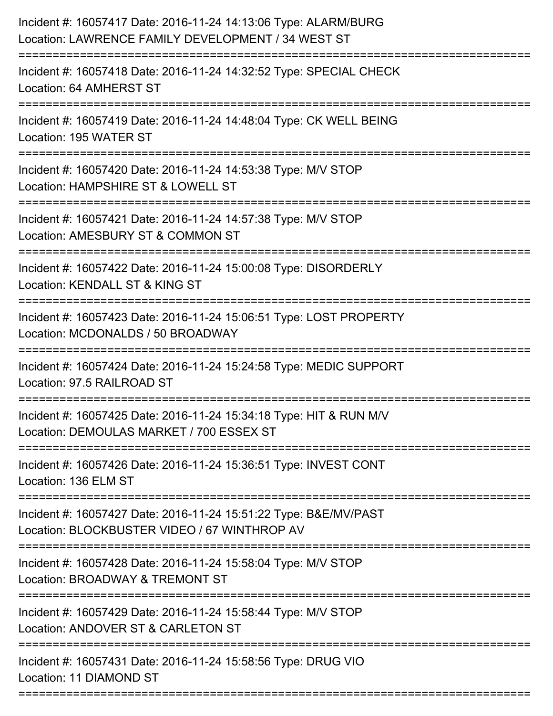| Incident #: 16057417 Date: 2016-11-24 14:13:06 Type: ALARM/BURG<br>Location: LAWRENCE FAMILY DEVELOPMENT / 34 WEST ST                                     |
|-----------------------------------------------------------------------------------------------------------------------------------------------------------|
| Incident #: 16057418 Date: 2016-11-24 14:32:52 Type: SPECIAL CHECK<br>Location: 64 AMHERST ST                                                             |
| Incident #: 16057419 Date: 2016-11-24 14:48:04 Type: CK WELL BEING<br>Location: 195 WATER ST                                                              |
| Incident #: 16057420 Date: 2016-11-24 14:53:38 Type: M/V STOP<br>Location: HAMPSHIRE ST & LOWELL ST                                                       |
| Incident #: 16057421 Date: 2016-11-24 14:57:38 Type: M/V STOP<br>Location: AMESBURY ST & COMMON ST<br>:=====================                              |
| Incident #: 16057422 Date: 2016-11-24 15:00:08 Type: DISORDERLY<br>Location: KENDALL ST & KING ST                                                         |
| Incident #: 16057423 Date: 2016-11-24 15:06:51 Type: LOST PROPERTY<br>Location: MCDONALDS / 50 BROADWAY                                                   |
| Incident #: 16057424 Date: 2016-11-24 15:24:58 Type: MEDIC SUPPORT<br>Location: 97.5 RAILROAD ST                                                          |
| Incident #: 16057425 Date: 2016-11-24 15:34:18 Type: HIT & RUN M/V<br>Location: DEMOULAS MARKET / 700 ESSEX ST                                            |
| Incident #: 16057426 Date: 2016-11-24 15:36:51 Type: INVEST CONT<br>Location: 136 ELM ST                                                                  |
| =====================================<br>Incident #: 16057427 Date: 2016-11-24 15:51:22 Type: B&E/MV/PAST<br>Location: BLOCKBUSTER VIDEO / 67 WINTHROP AV |
| Incident #: 16057428 Date: 2016-11-24 15:58:04 Type: M/V STOP<br>Location: BROADWAY & TREMONT ST                                                          |
| Incident #: 16057429 Date: 2016-11-24 15:58:44 Type: M/V STOP<br>Location: ANDOVER ST & CARLETON ST                                                       |
| Incident #: 16057431 Date: 2016-11-24 15:58:56 Type: DRUG VIO<br>Location: 11 DIAMOND ST                                                                  |
|                                                                                                                                                           |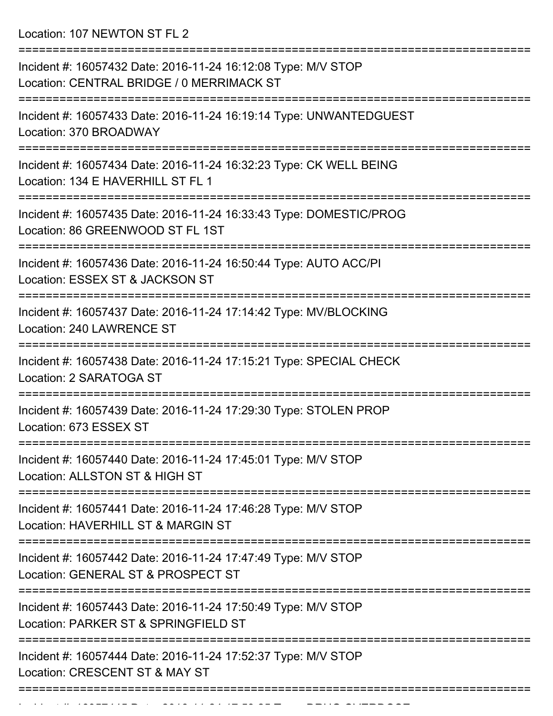Location: 107 NEWTON ST FL 2

| Incident #: 16057432 Date: 2016-11-24 16:12:08 Type: M/V STOP<br>Location: CENTRAL BRIDGE / 0 MERRIMACK ST |
|------------------------------------------------------------------------------------------------------------|
| Incident #: 16057433 Date: 2016-11-24 16:19:14 Type: UNWANTEDGUEST<br>Location: 370 BROADWAY               |
| Incident #: 16057434 Date: 2016-11-24 16:32:23 Type: CK WELL BEING<br>Location: 134 E HAVERHILL ST FL 1    |
| Incident #: 16057435 Date: 2016-11-24 16:33:43 Type: DOMESTIC/PROG<br>Location: 86 GREENWOOD ST FL 1ST     |
| Incident #: 16057436 Date: 2016-11-24 16:50:44 Type: AUTO ACC/PI<br>Location: ESSEX ST & JACKSON ST        |
| Incident #: 16057437 Date: 2016-11-24 17:14:42 Type: MV/BLOCKING<br>Location: 240 LAWRENCE ST              |
| Incident #: 16057438 Date: 2016-11-24 17:15:21 Type: SPECIAL CHECK<br>Location: 2 SARATOGA ST              |
| Incident #: 16057439 Date: 2016-11-24 17:29:30 Type: STOLEN PROP<br>Location: 673 ESSEX ST                 |
| Incident #: 16057440 Date: 2016-11-24 17:45:01 Type: M/V STOP<br>Location: ALLSTON ST & HIGH ST            |
| Incident #: 16057441 Date: 2016-11-24 17:46:28 Type: M/V STOP<br>Location: HAVERHILL ST & MARGIN ST        |
| Incident #: 16057442 Date: 2016-11-24 17:47:49 Type: M/V STOP<br>Location: GENERAL ST & PROSPECT ST        |
| Incident #: 16057443 Date: 2016-11-24 17:50:49 Type: M/V STOP<br>Location: PARKER ST & SPRINGFIELD ST      |
| Incident #: 16057444 Date: 2016-11-24 17:52:37 Type: M/V STOP<br>Location: CRESCENT ST & MAY ST            |
|                                                                                                            |

Incident #: 16057445 Date: 2016 11 24 17:53:25 Type: DRUG OVERDOSE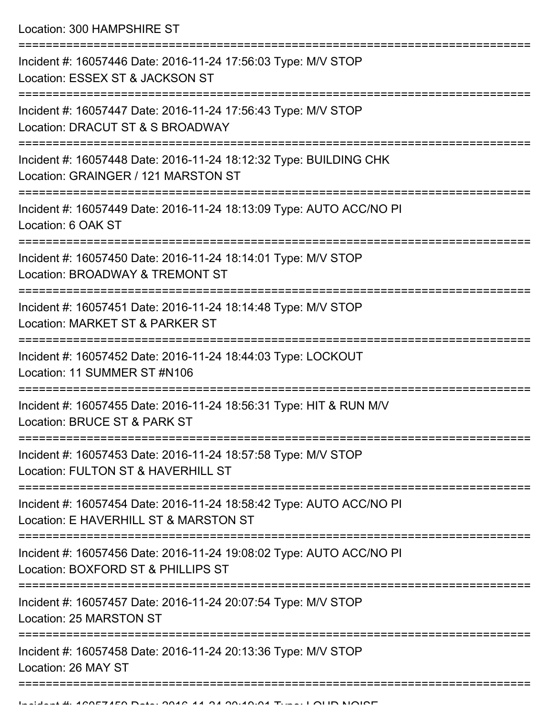Location: 300 HAMPSHIRE ST

| Incident #: 16057446 Date: 2016-11-24 17:56:03 Type: M/V STOP<br>Location: ESSEX ST & JACKSON ST             |
|--------------------------------------------------------------------------------------------------------------|
| Incident #: 16057447 Date: 2016-11-24 17:56:43 Type: M/V STOP<br>Location: DRACUT ST & S BROADWAY            |
| Incident #: 16057448 Date: 2016-11-24 18:12:32 Type: BUILDING CHK<br>Location: GRAINGER / 121 MARSTON ST     |
| Incident #: 16057449 Date: 2016-11-24 18:13:09 Type: AUTO ACC/NO PI<br>Location: 6 OAK ST                    |
| Incident #: 16057450 Date: 2016-11-24 18:14:01 Type: M/V STOP<br>Location: BROADWAY & TREMONT ST             |
| Incident #: 16057451 Date: 2016-11-24 18:14:48 Type: M/V STOP<br>Location: MARKET ST & PARKER ST             |
| Incident #: 16057452 Date: 2016-11-24 18:44:03 Type: LOCKOUT<br>Location: 11 SUMMER ST #N106                 |
| Incident #: 16057455 Date: 2016-11-24 18:56:31 Type: HIT & RUN M/V<br>Location: BRUCE ST & PARK ST           |
| Incident #: 16057453 Date: 2016-11-24 18:57:58 Type: M/V STOP<br>Location: FULTON ST & HAVERHILL ST          |
| Incident #: 16057454 Date: 2016-11-24 18:58:42 Type: AUTO ACC/NO PI<br>Location: E HAVERHILL ST & MARSTON ST |
| Incident #: 16057456 Date: 2016-11-24 19:08:02 Type: AUTO ACC/NO PI<br>Location: BOXFORD ST & PHILLIPS ST    |
| Incident #: 16057457 Date: 2016-11-24 20:07:54 Type: M/V STOP<br>Location: 25 MARSTON ST                     |
| Incident #: 16057458 Date: 2016-11-24 20:13:36 Type: M/V STOP<br>Location: 26 MAY ST                         |
|                                                                                                              |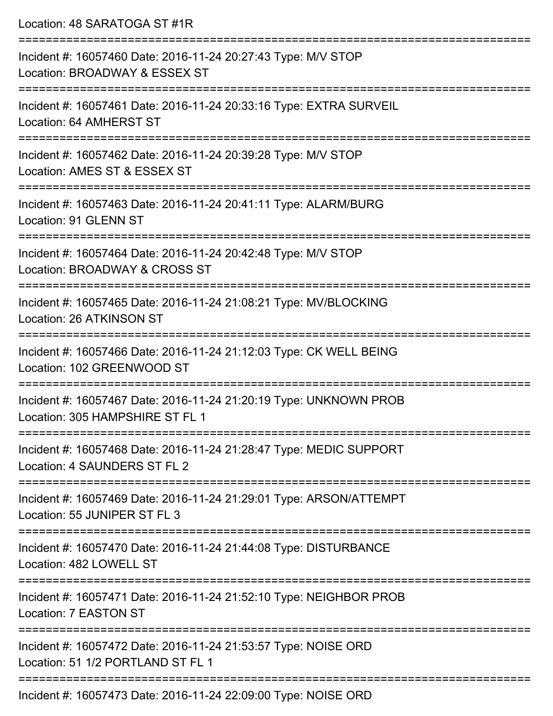| Location: 48 SARATOGA ST #1R                                                                         |
|------------------------------------------------------------------------------------------------------|
| Incident #: 16057460 Date: 2016-11-24 20:27:43 Type: M/V STOP<br>Location: BROADWAY & ESSEX ST       |
| Incident #: 16057461 Date: 2016-11-24 20:33:16 Type: EXTRA SURVEIL<br>Location: 64 AMHERST ST        |
| Incident #: 16057462 Date: 2016-11-24 20:39:28 Type: M/V STOP<br>Location: AMES ST & ESSEX ST        |
| Incident #: 16057463 Date: 2016-11-24 20:41:11 Type: ALARM/BURG<br>Location: 91 GLENN ST             |
| Incident #: 16057464 Date: 2016-11-24 20:42:48 Type: M/V STOP<br>Location: BROADWAY & CROSS ST       |
| Incident #: 16057465 Date: 2016-11-24 21:08:21 Type: MV/BLOCKING<br>Location: 26 ATKINSON ST         |
| Incident #: 16057466 Date: 2016-11-24 21:12:03 Type: CK WELL BEING<br>Location: 102 GREENWOOD ST     |
| Incident #: 16057467 Date: 2016-11-24 21:20:19 Type: UNKNOWN PROB<br>Location: 305 HAMPSHIRE ST FL 1 |
| Incident #: 16057468 Date: 2016-11-24 21:28:47 Type: MEDIC SUPPORT<br>Location: 4 SAUNDERS ST FL 2   |
| Incident #: 16057469 Date: 2016-11-24 21:29:01 Type: ARSON/ATTEMPT<br>Location: 55 JUNIPER ST FL 3   |
| Incident #: 16057470 Date: 2016-11-24 21:44:08 Type: DISTURBANCE<br>Location: 482 LOWELL ST          |
| Incident #: 16057471 Date: 2016-11-24 21:52:10 Type: NEIGHBOR PROB<br>Location: 7 EASTON ST          |
| Incident #: 16057472 Date: 2016-11-24 21:53:57 Type: NOISE ORD<br>Location: 51 1/2 PORTLAND ST FL 1  |
|                                                                                                      |

Incident #: 16057473 Date: 2016-11-24 22:09:00 Type: NOISE ORD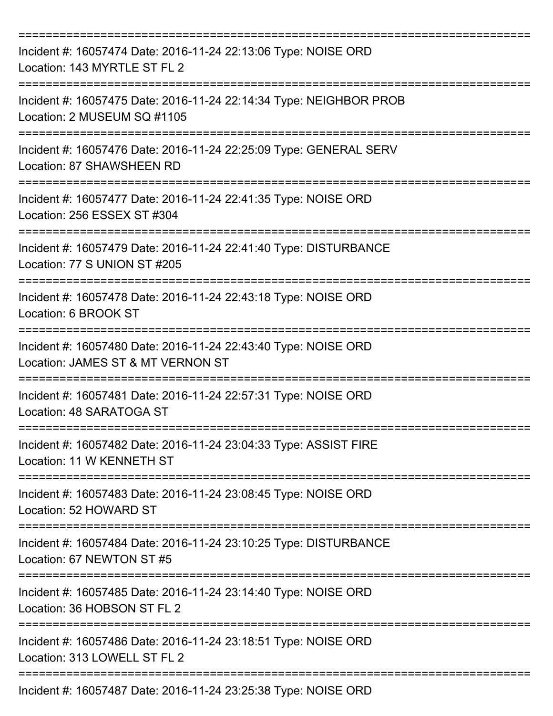| Incident #: 16057474 Date: 2016-11-24 22:13:06 Type: NOISE ORD<br>Location: 143 MYRTLE ST FL 2                                      |
|-------------------------------------------------------------------------------------------------------------------------------------|
| Incident #: 16057475 Date: 2016-11-24 22:14:34 Type: NEIGHBOR PROB<br>Location: 2 MUSEUM SQ #1105                                   |
| Incident #: 16057476 Date: 2016-11-24 22:25:09 Type: GENERAL SERV<br>Location: 87 SHAWSHEEN RD                                      |
| Incident #: 16057477 Date: 2016-11-24 22:41:35 Type: NOISE ORD<br>Location: 256 ESSEX ST #304                                       |
| Incident #: 16057479 Date: 2016-11-24 22:41:40 Type: DISTURBANCE<br>Location: 77 S UNION ST #205                                    |
| Incident #: 16057478 Date: 2016-11-24 22:43:18 Type: NOISE ORD<br>Location: 6 BROOK ST                                              |
| Incident #: 16057480 Date: 2016-11-24 22:43:40 Type: NOISE ORD<br>Location: JAMES ST & MT VERNON ST                                 |
| Incident #: 16057481 Date: 2016-11-24 22:57:31 Type: NOISE ORD<br>Location: 48 SARATOGA ST                                          |
| Incident #: 16057482 Date: 2016-11-24 23:04:33 Type: ASSIST FIRE<br>Location: 11 W KENNETH ST                                       |
| Incident #: 16057483 Date: 2016-11-24 23:08:45 Type: NOISE ORD<br>Location: 52 HOWARD ST                                            |
| Incident #: 16057484 Date: 2016-11-24 23:10:25 Type: DISTURBANCE<br>Location: 67 NEWTON ST #5<br>================================== |
| Incident #: 16057485 Date: 2016-11-24 23:14:40 Type: NOISE ORD<br>Location: 36 HOBSON ST FL 2                                       |
| Incident #: 16057486 Date: 2016-11-24 23:18:51 Type: NOISE ORD<br>Location: 313 LOWELL ST FL 2                                      |
| Incident #: 16057487 Date: 2016-11-24 23:25:38 Type: NOISE ORD                                                                      |